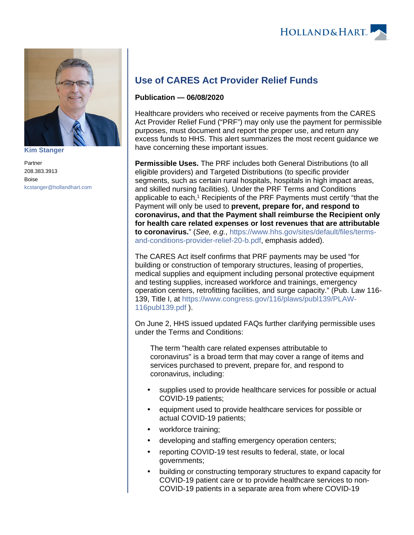

**[Kim Stanger](https://www.hollandhart.com/15954)**

Partner 208.383.3913 Boise [kcstanger@hollandhart.com](mailto:kcstanger@hollandhart.com)

## **Use of CARES Act Provider Relief Funds**

## **Publication — 06/08/2020**

Healthcare providers who received or receive payments from the CARES Act Provider Relief Fund ("PRF") may only use the payment for permissible purposes, must document and report the proper use, and return any excess funds to HHS. This alert summarizes the most recent guidance we have concerning these important issues.

**Permissible Uses.** The PRF includes both General Distributions (to all eligible providers) and Targeted Distributions (to specific provider segments, such as certain rural hospitals, hospitals in high impact areas, and skilled nursing facilities). Under the PRF Terms and Conditions applicable to each,<sup>1</sup> Recipients of the PRF Payments must certify "that the Payment will only be used to **prevent, prepare for, and respond to coronavirus, and that the Payment shall reimburse the Recipient only for health care related expenses or lost revenues that are attributable to coronavirus.**" (See, e.g., [https://www.hhs.gov/sites/default/files/terms](https://www.hhs.gov/sites/default/files/terms-and-conditions-provider-relief-20-b.pdf)[and-conditions-provider-relief-20-b.pdf](https://www.hhs.gov/sites/default/files/terms-and-conditions-provider-relief-20-b.pdf), emphasis added).

The CARES Act itself confirms that PRF payments may be used "for building or construction of temporary structures, leasing of properties, medical supplies and equipment including personal protective equipment and testing supplies, increased workforce and trainings, emergency operation centers, retrofitting facilities, and surge capacity." (Pub. Law 116- 139, Title I, at [https://www.congress.gov/116/plaws/publ139/PLAW-](https://www.congress.gov/116/plaws/publ139/PLAW-116publ139.pdf)[116publ139.pdf](https://www.congress.gov/116/plaws/publ139/PLAW-116publ139.pdf) ).

On June 2, HHS issued updated FAQs further clarifying permissible uses under the Terms and Conditions:

The term "health care related expenses attributable to coronavirus" is a broad term that may cover a range of items and services purchased to prevent, prepare for, and respond to coronavirus, including:

- supplies used to provide healthcare services for possible or actual COVID-19 patients;
- equipment used to provide healthcare services for possible or actual COVID-19 patients;
- workforce training;
- developing and staffing emergency operation centers;
- reporting COVID-19 test results to federal, state, or local governments;
- building or constructing temporary structures to expand capacity for COVID-19 patient care or to provide healthcare services to non-COVID-19 patients in a separate area from where COVID-19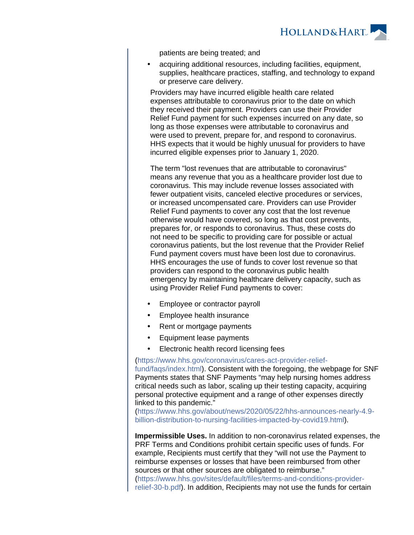

patients are being treated; and

 acquiring additional resources, including facilities, equipment, supplies, healthcare practices, staffing, and technology to expand or preserve care delivery.

Providers may have incurred eligible health care related expenses attributable to coronavirus prior to the date on which they received their payment. Providers can use their Provider Relief Fund payment for such expenses incurred on any date, so long as those expenses were attributable to coronavirus and were used to prevent, prepare for, and respond to coronavirus. HHS expects that it would be highly unusual for providers to have incurred eligible expenses prior to January 1, 2020.

The term "lost revenues that are attributable to coronavirus" means any revenue that you as a healthcare provider lost due to coronavirus. This may include revenue losses associated with fewer outpatient visits, canceled elective procedures or services, or increased uncompensated care. Providers can use Provider Relief Fund payments to cover any cost that the lost revenue otherwise would have covered, so long as that cost prevents, prepares for, or responds to coronavirus. Thus, these costs do not need to be specific to providing care for possible or actual coronavirus patients, but the lost revenue that the Provider Relief Fund payment covers must have been lost due to coronavirus. HHS encourages the use of funds to cover lost revenue so that providers can respond to the coronavirus public health emergency by maintaining healthcare delivery capacity, such as using Provider Relief Fund payments to cover:

- Employee or contractor payroll
- Employee health insurance
- Rent or mortgage payments
- Equipment lease payments
- Electronic health record licensing fees

[\(https://www.hhs.gov/coronavirus/cares-act-provider-relief-](https://www.hhs.gov/coronavirus/cares-act-provider-relief-fund/faqs/index.html)

[fund/faqs/index.html](https://www.hhs.gov/coronavirus/cares-act-provider-relief-fund/faqs/index.html)). Consistent with the foregoing, the webpage for SNF Payments states that SNF Payments "may help nursing homes address critical needs such as labor, scaling up their testing capacity, acquiring personal protective equipment and a range of other expenses directly linked to this pandemic."

[\(https://www.hhs.gov/about/news/2020/05/22/hhs-announces-nearly-4.9](https://www.hhs.gov/about/news/2020/05/22/hhs-announces-nearly-4.9-billion-distribution-to-nursing-facilities-impacted-by-covid19.html) [billion-distribution-to-nursing-facilities-impacted-by-covid19.html](https://www.hhs.gov/about/news/2020/05/22/hhs-announces-nearly-4.9-billion-distribution-to-nursing-facilities-impacted-by-covid19.html)).

**Impermissible Uses.** In addition to non-coronavirus related expenses, the PRF Terms and Conditions prohibit certain specific uses of funds. For example, Recipients must certify that they "will not use the Payment to reimburse expenses or losses that have been reimbursed from other sources or that other sources are obligated to reimburse." [\(https://www.hhs.gov/sites/default/files/terms-and-conditions-provider](https://www.hhs.gov/sites/default/files/terms-and-conditions-provider-relief-30-b.pdf)[relief-30-b.pdf\)](https://www.hhs.gov/sites/default/files/terms-and-conditions-provider-relief-30-b.pdf). In addition, Recipients may not use the funds for certain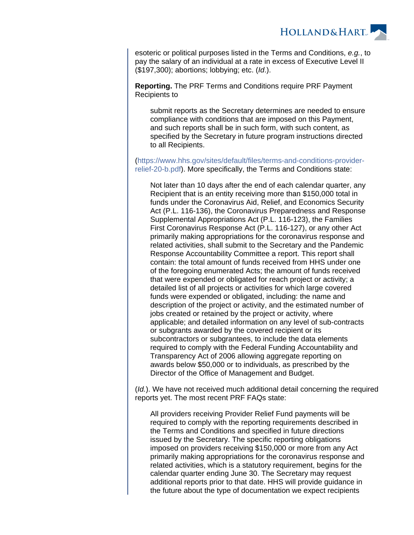

esoteric or political purposes listed in the Terms and Conditions, e.g., to pay the salary of an individual at a rate in excess of Executive Level II (\$197,300); abortions; lobbying; etc. (Id.).

**Reporting.** The PRF Terms and Conditions require PRF Payment Recipients to

submit reports as the Secretary determines are needed to ensure compliance with conditions that are imposed on this Payment, and such reports shall be in such form, with such content, as specified by the Secretary in future program instructions directed to all Recipients.

[\(https://www.hhs.gov/sites/default/files/terms-and-conditions-provider](https://www.hhs.gov/sites/default/files/terms-and-conditions-provider-relief-20-b.pdf)[relief-20-b.pdf\)](https://www.hhs.gov/sites/default/files/terms-and-conditions-provider-relief-20-b.pdf). More specifically, the Terms and Conditions state:

Not later than 10 days after the end of each calendar quarter, any Recipient that is an entity receiving more than \$150,000 total in funds under the Coronavirus Aid, Relief, and Economics Security Act (P.L. 116-136), the Coronavirus Preparedness and Response Supplemental Appropriations Act (P.L. 116-123), the Families First Coronavirus Response Act (P.L. 116-127), or any other Act primarily making appropriations for the coronavirus response and related activities, shall submit to the Secretary and the Pandemic Response Accountability Committee a report. This report shall contain: the total amount of funds received from HHS under one of the foregoing enumerated Acts; the amount of funds received that were expended or obligated for reach project or activity; a detailed list of all projects or activities for which large covered funds were expended or obligated, including: the name and description of the project or activity, and the estimated number of jobs created or retained by the project or activity, where applicable; and detailed information on any level of sub-contracts or subgrants awarded by the covered recipient or its subcontractors or subgrantees, to include the data elements required to comply with the Federal Funding Accountability and Transparency Act of 2006 allowing aggregate reporting on awards below \$50,000 or to individuals, as prescribed by the Director of the Office of Management and Budget.

(Id.). We have not received much additional detail concerning the required reports yet. The most recent PRF FAQs state:

All providers receiving Provider Relief Fund payments will be required to comply with the reporting requirements described in the Terms and Conditions and specified in future directions issued by the Secretary. The specific reporting obligations imposed on providers receiving \$150,000 or more from any Act primarily making appropriations for the coronavirus response and related activities, which is a statutory requirement, begins for the calendar quarter ending June 30. The Secretary may request additional reports prior to that date. HHS will provide guidance in the future about the type of documentation we expect recipients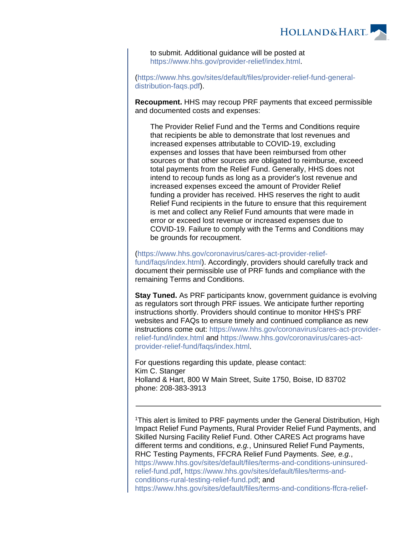

to submit. Additional guidance will be posted at <https://www.hhs.gov/provider-relief/index.html>.

[\(https://www.hhs.gov/sites/default/files/provider-relief-fund-general](https://www.hhs.gov/sites/default/files/provider-relief-fund-general-distribution-faqs.pdf)[distribution-faqs.pdf\)](https://www.hhs.gov/sites/default/files/provider-relief-fund-general-distribution-faqs.pdf).

**Recoupment.** HHS may recoup PRF payments that exceed permissible and documented costs and expenses:

The Provider Relief Fund and the Terms and Conditions require that recipients be able to demonstrate that lost revenues and increased expenses attributable to COVID-19, excluding expenses and losses that have been reimbursed from other sources or that other sources are obligated to reimburse, exceed total payments from the Relief Fund. Generally, HHS does not intend to recoup funds as long as a provider's lost revenue and increased expenses exceed the amount of Provider Relief funding a provider has received. HHS reserves the right to audit Relief Fund recipients in the future to ensure that this requirement is met and collect any Relief Fund amounts that were made in error or exceed lost revenue or increased expenses due to COVID-19. Failure to comply with the Terms and Conditions may be grounds for recoupment.

[\(https://www.hhs.gov/coronavirus/cares-act-provider-relief](https://www.hhs.gov/coronavirus/cares-act-provider-relief-fund/faqs/index.html)[fund/faqs/index.html](https://www.hhs.gov/coronavirus/cares-act-provider-relief-fund/faqs/index.html)). Accordingly, providers should carefully track and document their permissible use of PRF funds and compliance with the remaining Terms and Conditions.

**Stay Tuned.** As PRF participants know, government guidance is evolving as regulators sort through PRF issues. We anticipate further reporting instructions shortly. Providers should continue to monitor HHS's PRF websites and FAQs to ensure timely and continued compliance as new instructions come out: [https://www.hhs.gov/coronavirus/cares-act-provider](https://www.hhs.gov/coronavirus/cares-act-provider-relief-fund/index.html)[relief-fund/index.html](https://www.hhs.gov/coronavirus/cares-act-provider-relief-fund/index.html) and [https://www.hhs.gov/coronavirus/cares-act](https://www.hhs.gov/coronavirus/cares-act-provider-relief-fund/faqs/index.html)[provider-relief-fund/faqs/index.html](https://www.hhs.gov/coronavirus/cares-act-provider-relief-fund/faqs/index.html).

For questions regarding this update, please contact: Kim C. Stanger Holland & Hart, 800 W Main Street, Suite 1750, Boise, ID 83702 phone: 208-383-3913

<sup>1</sup>This alert is limited to PRF payments under the General Distribution, High Impact Relief Fund Payments, Rural Provider Relief Fund Payments, and Skilled Nursing Facility Relief Fund. Other CARES Act programs have different terms and conditions, e.g., Uninsured Relief Fund Payments, RHC Testing Payments, FFCRA Relief Fund Payments. See, e.g., [https://www.hhs.gov/sites/default/files/terms-and-conditions-uninsured](https://www.hhs.gov/sites/default/files/terms-and-conditions-uninsured-relief-fund.pdf)[relief-fund.pdf](https://www.hhs.gov/sites/default/files/terms-and-conditions-uninsured-relief-fund.pdf), [https://www.hhs.gov/sites/default/files/terms-and](https://www.hhs.gov/sites/default/files/terms-and-conditions-rural-testing-relief-fund.pdf)[conditions-rural-testing-relief-fund.pdf;](https://www.hhs.gov/sites/default/files/terms-and-conditions-rural-testing-relief-fund.pdf) and [https://www.hhs.gov/sites/default/files/terms-and-conditions-ffcra-relief-](https://www.hhs.gov/sites/default/files/terms-and-conditions-ffcra-relief-fund.pdf)